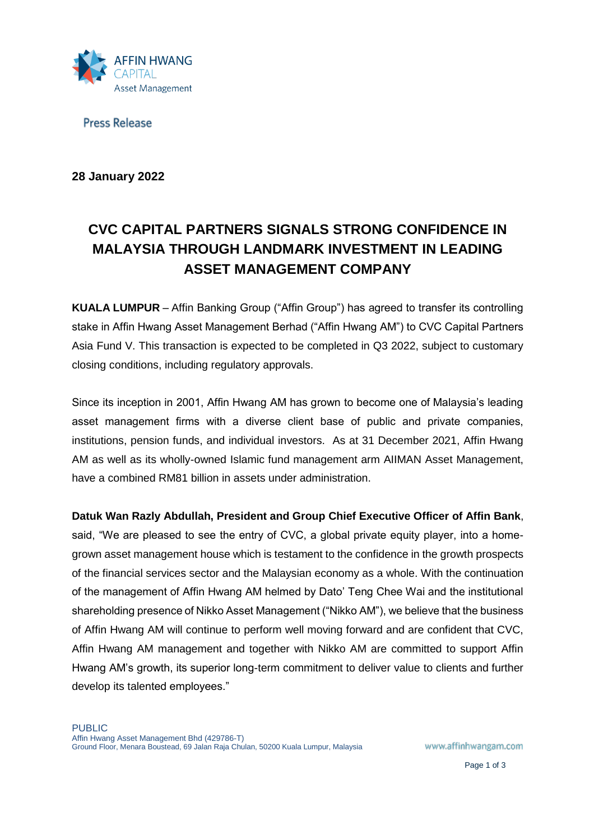

**Press Release** 

**28 January 2022**

# **CVC CAPITAL PARTNERS SIGNALS STRONG CONFIDENCE IN MALAYSIA THROUGH LANDMARK INVESTMENT IN LEADING ASSET MANAGEMENT COMPANY**

**KUALA LUMPUR** – Affin Banking Group ("Affin Group") has agreed to transfer its controlling stake in Affin Hwang Asset Management Berhad ("Affin Hwang AM") to CVC Capital Partners Asia Fund V. This transaction is expected to be completed in Q3 2022, subject to customary closing conditions, including regulatory approvals.

Since its inception in 2001, Affin Hwang AM has grown to become one of Malaysia's leading asset management firms with a diverse client base of public and private companies, institutions, pension funds, and individual investors. As at 31 December 2021, Affin Hwang AM as well as its wholly-owned Islamic fund management arm AIIMAN Asset Management, have a combined RM81 billion in assets under administration.

**Datuk Wan Razly Abdullah, President and Group Chief Executive Officer of Affin Bank**, said, "We are pleased to see the entry of CVC, a global private equity player, into a homegrown asset management house which is testament to the confidence in the growth prospects of the financial services sector and the Malaysian economy as a whole. With the continuation of the management of Affin Hwang AM helmed by Dato' Teng Chee Wai and the institutional shareholding presence of Nikko Asset Management ("Nikko AM"), we believe that the business of Affin Hwang AM will continue to perform well moving forward and are confident that CVC, Affin Hwang AM management and together with Nikko AM are committed to support Affin Hwang AM's growth, its superior long-term commitment to deliver value to clients and further develop its talented employees."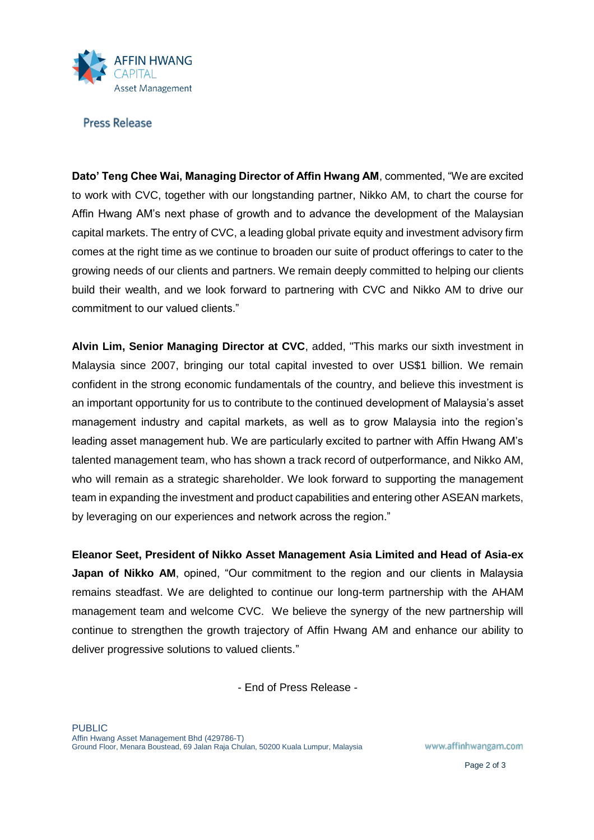

## **Press Release**

**Dato' Teng Chee Wai, Managing Director of Affin Hwang AM**, commented, "We are excited to work with CVC, together with our longstanding partner, Nikko AM, to chart the course for Affin Hwang AM's next phase of growth and to advance the development of the Malaysian capital markets. The entry of CVC, a leading global private equity and investment advisory firm comes at the right time as we continue to broaden our suite of product offerings to cater to the growing needs of our clients and partners. We remain deeply committed to helping our clients build their wealth, and we look forward to partnering with CVC and Nikko AM to drive our commitment to our valued clients."

**Alvin Lim, Senior Managing Director at CVC**, added, "This marks our sixth investment in Malaysia since 2007, bringing our total capital invested to over US\$1 billion. We remain confident in the strong economic fundamentals of the country, and believe this investment is an important opportunity for us to contribute to the continued development of Malaysia's asset management industry and capital markets, as well as to grow Malaysia into the region's leading asset management hub. We are particularly excited to partner with Affin Hwang AM's talented management team, who has shown a track record of outperformance, and Nikko AM, who will remain as a strategic shareholder. We look forward to supporting the management team in expanding the investment and product capabilities and entering other ASEAN markets, by leveraging on our experiences and network across the region."

**Eleanor Seet, President of Nikko Asset Management Asia Limited and Head of Asia-ex Japan of Nikko AM**, opined, "Our commitment to the region and our clients in Malaysia remains steadfast. We are delighted to continue our long-term partnership with the AHAM management team and welcome CVC. We believe the synergy of the new partnership will continue to strengthen the growth trajectory of Affin Hwang AM and enhance our ability to deliver progressive solutions to valued clients."

- End of Press Release -